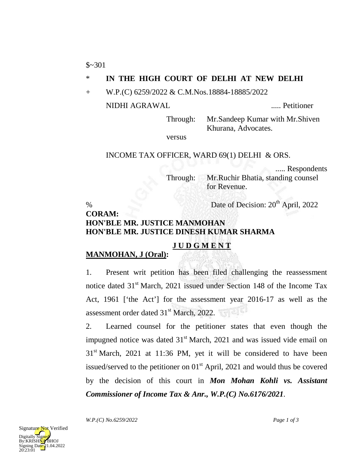$$~301$ 

### \* **IN THE HIGH COURT OF DELHI AT NEW DELHI**

+ W.P.(C) 6259/2022 & C.M.Nos.18884-18885/2022

NIDHI AGRAWAL ..... Petitioner

Through: Mr.Sandeep Kumar with Mr.Shiven Khurana, Advocates.

versus

#### INCOME TAX OFFICER, WARD 69(1) DELHI & ORS.

..... Respondents

Through: Mr.Ruchir Bhatia, standing counsel

for Revenue. % Date of Decision:  $20<sup>th</sup>$  April, 2022

### **CORAM: HON'BLE MR. JUSTICE MANMOHAN HON'BLE MR. JUSTICE DINESH KUMAR SHARMA**

# **J U D G M E N T**

### **MANMOHAN, J (Oral):**

1. Present writ petition has been filed challenging the reassessment notice dated 31<sup>st</sup> March, 2021 issued under Section 148 of the Income Tax Act, 1961 ['the Act'] for the assessment year 2016-17 as well as the assessment order dated 31<sup>st</sup> March, 2022.

2. Learned counsel for the petitioner states that even though the impugned notice was dated  $31<sup>st</sup>$  March, 2021 and was issued vide email on  $31<sup>st</sup> March$ ,  $2021$  at 11:36 PM, yet it will be considered to have been issued/served to the petitioner on  $01<sup>st</sup>$  April, 2021 and would thus be covered by the decision of this court in *Mon Mohan Kohli vs. Assistant Commissioner of Income Tax & Anr., W.P.(C) No.6176/2021*.

*W.P.(C) No.6259/2022 Page 1 of 3*



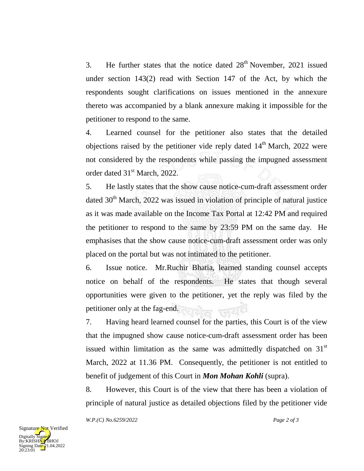3. He further states that the notice dated  $28<sup>th</sup>$  November, 2021 issued under section 143(2) read with Section 147 of the Act, by which the respondents sought clarifications on issues mentioned in the annexure thereto was accompanied by a blank annexure making it impossible for the petitioner to respond to the same.

4. Learned counsel for the petitioner also states that the detailed objections raised by the petitioner vide reply dated  $14<sup>th</sup>$  March, 2022 were not considered by the respondents while passing the impugned assessment order dated 31<sup>st</sup> March, 2022.

5. He lastly states that the show cause notice-cum-draft assessment order dated  $30<sup>th</sup>$  March, 2022 was issued in violation of principle of natural justice as it was made available on the Income Tax Portal at 12:42 PM and required the petitioner to respond to the same by 23:59 PM on the same day. He emphasises that the show cause notice-cum-draft assessment order was only placed on the portal but was not intimated to the petitioner.

6. Issue notice. Mr.Ruchir Bhatia, learned standing counsel accepts notice on behalf of the respondents. He states that though several opportunities were given to the petitioner, yet the reply was filed by the petitioner only at the fag-end.

7. Having heard learned counsel for the parties, this Court is of the view that the impugned show cause notice-cum-draft assessment order has been issued within limitation as the same was admittedly dispatched on  $31<sup>st</sup>$ March, 2022 at 11.36 PM. Consequently, the petitioner is not entitled to benefit of judgement of this Court in *Mon Mohan Kohli* (supra).

8. However, this Court is of the view that there has been a violation of principle of natural justice as detailed objections filed by the petitioner vide